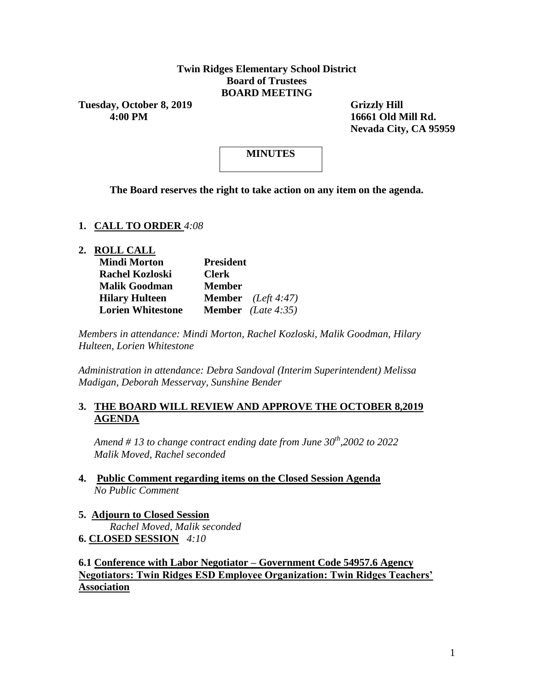### **Twin Ridges Elementary School District Board of Trustees BOARD MEETING**

Tuesday, October 8, 2019 Grizzly Hill

 **4:00 PM 16661 Old Mill Rd. Nevada City, CA 95959**

## **MINUTES**

**The Board reserves the right to take action on any item on the agenda.**

#### **1. CALL TO ORDER** *4:08*

**2. ROLL CALL**

| <b>Mindi Morton</b>      | <b>President</b>            |  |
|--------------------------|-----------------------------|--|
| <b>Rachel Kozloski</b>   | <b>Clerk</b>                |  |
| <b>Malik Goodman</b>     | <b>Member</b>               |  |
| <b>Hilary Hulteen</b>    | <b>Member</b> $(Left 4:47)$ |  |
| <b>Lorien Whitestone</b> | <b>Member</b> (Late 4:35)   |  |

*Members in attendance: Mindi Morton, Rachel Kozloski, Malik Goodman, Hilary Hulteen, Lorien Whitestone*

*Administration in attendance: Debra Sandoval (Interim Superintendent) Melissa Madigan, Deborah Messervay, Sunshine Bender*

## **3. THE BOARD WILL REVIEW AND APPROVE THE OCTOBER 8,2019 AGENDA**

*Amend # 13 to change contract ending date from June 30th,2002 to 2022 Malik Moved, Rachel seconded* 

- **4. Public Comment regarding items on the Closed Session Agenda** *No Public Comment*
- **5. Adjourn to Closed Session** *Rachel Moved, Malik seconded*  **6. CLOSED SESSION** *4:10*

**6.1 Conference with Labor Negotiator – Government Code 54957.6 Agency Negotiators: Twin Ridges ESD Employee Organization: Twin Ridges Teachers' Association**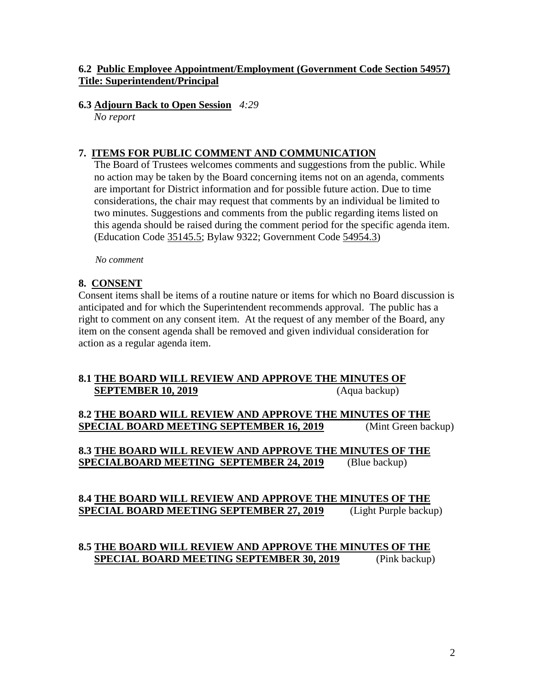## **6.2 Public Employee Appointment/Employment (Government Code Section 54957) Title: Superintendent/Principal**

### **6.3 Adjourn Back to Open Session** *4:29*

*No report* 

## **7. ITEMS FOR PUBLIC COMMENT AND COMMUNICATION**

The Board of Trustees welcomes comments and suggestions from the public. While no action may be taken by the Board concerning items not on an agenda, comments are important for District information and for possible future action. Due to time considerations, the chair may request that comments by an individual be limited to two minutes. Suggestions and comments from the public regarding items listed on this agenda should be raised during the comment period for the specific agenda item. (Education Code 35145.5; Bylaw 9322; Government Code 54954.3)

*No comment* 

## **8. CONSENT**

Consent items shall be items of a routine nature or items for which no Board discussion is anticipated and for which the Superintendent recommends approval. The public has a right to comment on any consent item. At the request of any member of the Board, any item on the consent agenda shall be removed and given individual consideration for action as a regular agenda item.

## **8.1 THE BOARD WILL REVIEW AND APPROVE THE MINUTES OF SEPTEMBER 10, 2019** (Aqua backup)

**8.2 THE BOARD WILL REVIEW AND APPROVE THE MINUTES OF THE SPECIAL BOARD MEETING SEPTEMBER 16, 2019** (Mint Green backup)

**8.3 THE BOARD WILL REVIEW AND APPROVE THE MINUTES OF THE SPECIALBOARD MEETING SEPTEMBER 24, 2019** (Blue backup)

## **8.4 THE BOARD WILL REVIEW AND APPROVE THE MINUTES OF THE SPECIAL BOARD MEETING SEPTEMBER 27, 2019** (Light Purple backup)

## **8.5 THE BOARD WILL REVIEW AND APPROVE THE MINUTES OF THE SPECIAL BOARD MEETING SEPTEMBER 30, 2019** (Pink backup)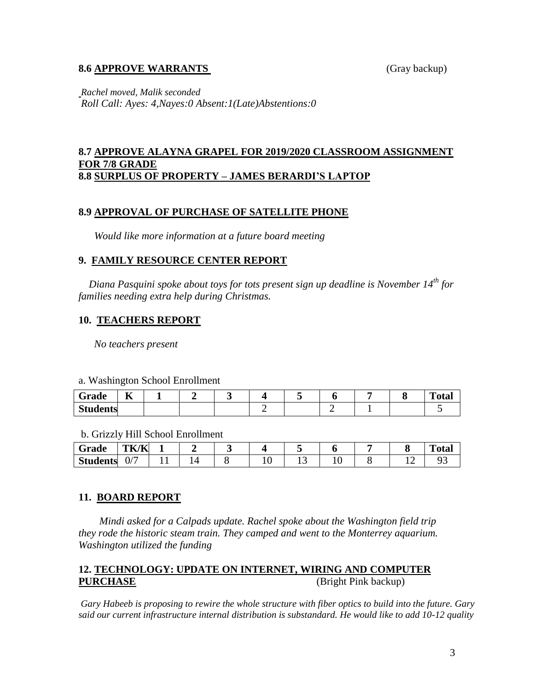#### **8.6 APPROVE WARRANTS** (Gray backup)

*Rachel moved, Malik seconded Roll Call: Ayes: 4,Nayes:0 Absent:1(Late)Abstentions:0*

#### **8.7 APPROVE ALAYNA GRAPEL FOR 2019/2020 CLASSROOM ASSIGNMENT FOR 7/8 GRADE 8.8 SURPLUS OF PROPERTY – JAMES BERARDI'S LAPTOP**

#### **8.9 APPROVAL OF PURCHASE OF SATELLITE PHONE**

 *Would like more information at a future board meeting* 

#### **9. FAMILY RESOURCE CENTER REPORT**

 *Diana Pasquini spoke about toys for tots present sign up deadline is November 14th for families needing extra help during Christmas.*

#### **10. TEACHERS REPORT**

*No teachers present* 

#### a. Washington School Enrollment

| Grade           | --<br>n. |  |  |  |  | m<br>'otal |
|-----------------|----------|--|--|--|--|------------|
| <b>Students</b> |          |  |  |  |  |            |

b. Grizzly Hill School Enrollment

| Grade           | TK/K             |  |  |          |  | m<br>vtai |
|-----------------|------------------|--|--|----------|--|-----------|
| <b>Students</b> | $\sqrt{2}$<br>U/ |  |  | <b>.</b> |  |           |

#### **11. BOARD REPORT**

*Mindi asked for a Calpads update. Rachel spoke about the Washington field trip they rode the historic steam train. They camped and went to the Monterrey aquarium. Washington utilized the funding* 

### **12. TECHNOLOGY: UPDATE ON INTERNET, WIRING AND COMPUTER PURCHASE** (Bright Pink backup)

*Gary Habeeb is proposing to rewire the whole structure with fiber optics to build into the future. Gary said our current infrastructure internal distribution is substandard. He would like to add 10-12 quality*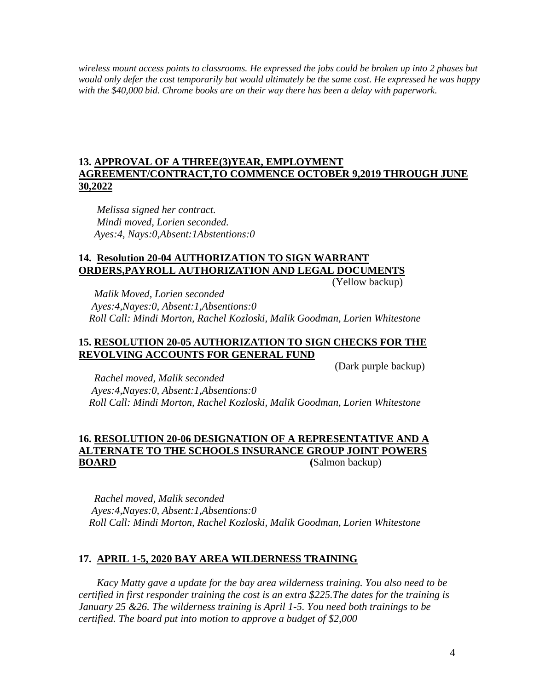*wireless mount access points to classrooms. He expressed the jobs could be broken up into 2 phases but would only defer the cost temporarily but would ultimately be the same cost. He expressed he was happy with the \$40,000 bid. Chrome books are on their way there has been a delay with paperwork.* 

## **13. APPROVAL OF A THREE(3)YEAR, EMPLOYMENT AGREEMENT/CONTRACT,TO COMMENCE OCTOBER 9,2019 THROUGH JUNE 30,2022**

*Melissa signed her contract.*  *Mindi moved, Lorien seconded. Ayes:4, Nays:0,Absent:1Abstentions:0*

# **14. Resolution 20-04 AUTHORIZATION TO SIGN WARRANT ORDERS,PAYROLL AUTHORIZATION AND LEGAL DOCUMENTS**

(Yellow backup)

 *Malik Moved, Lorien seconded Ayes:4,Nayes:0, Absent:1,Absentions:0 Roll Call: Mindi Morton, Rachel Kozloski, Malik Goodman, Lorien Whitestone*

### **15. RESOLUTION 20-05 AUTHORIZATION TO SIGN CHECKS FOR THE REVOLVING ACCOUNTS FOR GENERAL FUND**

(Dark purple backup)

*Rachel moved, Malik seconded Ayes:4,Nayes:0, Absent:1,Absentions:0 Roll Call: Mindi Morton, Rachel Kozloski, Malik Goodman, Lorien Whitestone*

## **16. RESOLUTION 20-06 DESIGNATION OF A REPRESENTATIVE AND A ALTERNATE TO THE SCHOOLS INSURANCE GROUP JOINT POWERS BOARD** (Salmon backup)

 *Rachel moved, Malik seconded Ayes:4,Nayes:0, Absent:1,Absentions:0 Roll Call: Mindi Morton, Rachel Kozloski, Malik Goodman, Lorien Whitestone*

## **17. APRIL 1-5, 2020 BAY AREA WILDERNESS TRAINING**

*Kacy Matty gave a update for the bay area wilderness training. You also need to be certified in first responder training the cost is an extra \$225.The dates for the training is January 25 &26. The wilderness training is April 1-5. You need both trainings to be certified. The board put into motion to approve a budget of \$2,000*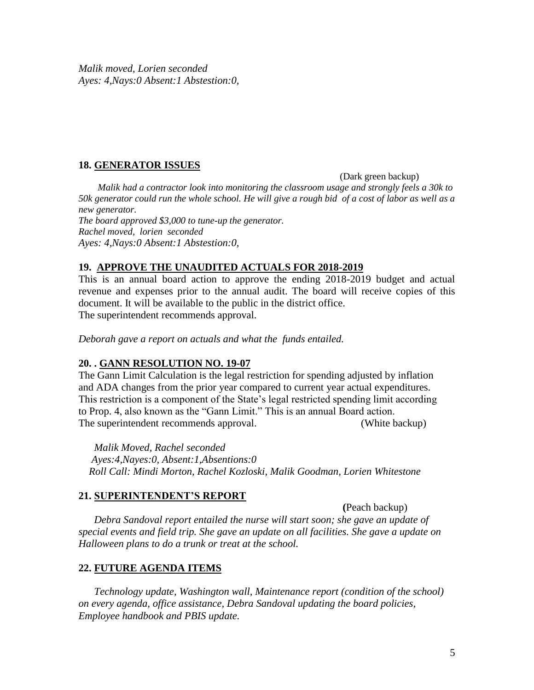## **18. GENERATOR ISSUES**

(Dark green backup)

*Malik had a contractor look into monitoring the classroom usage and strongly feels a 30k to 50k generator could run the whole school. He will give a rough bid of a cost of labor as well as a new generator. The board approved \$3,000 to tune-up the generator. Rachel moved, lorien seconded Ayes: 4,Nays:0 Absent:1 Abstestion:0,*

## **19. APPROVE THE UNAUDITED ACTUALS FOR 2018-2019**

This is an annual board action to approve the ending 2018-2019 budget and actual revenue and expenses prior to the annual audit. The board will receive copies of this document. It will be available to the public in the district office. The superintendent recommends approval.

*Deborah gave a report on actuals and what the funds entailed.*

## **20. . GANN RESOLUTION NO. 19-07**

The Gann Limit Calculation is the legal restriction for spending adjusted by inflation and ADA changes from the prior year compared to current year actual expenditures. This restriction is a component of the State's legal restricted spending limit according to Prop. 4, also known as the "Gann Limit." This is an annual Board action. The superintendent recommends approval. (White backup)

 *Malik Moved, Rachel seconded Ayes:4,Nayes:0, Absent:1,Absentions:0 Roll Call: Mindi Morton, Rachel Kozloski, Malik Goodman, Lorien Whitestone*

## **21. SUPERINTENDENT'S REPORT**

 **(**Peach backup)

 *Debra Sandoval report entailed the nurse will start soon; she gave an update of special events and field trip. She gave an update on all facilities. She gave a update on Halloween plans to do a trunk or treat at the school.*

## **22. FUTURE AGENDA ITEMS**

 *Technology update, Washington wall, Maintenance report (condition of the school) on every agenda, office assistance, Debra Sandoval updating the board policies, Employee handbook and PBIS update.*